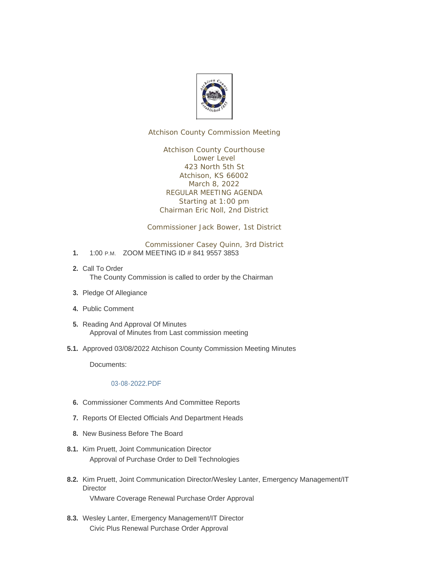

Atchison County Commission Meeting

Atchison County Courthouse Lower Level 423 North 5th St Atchison, KS 66002 March 8, 2022 REGULAR MEETING AGENDA Starting at 1:00 pm Chairman Eric Noll, 2nd District

Commissioner Jack Bower, 1st District

Commissioner Casey Quinn, 3rd District

- 1. 1:00 P.M. ZOOM MEETING ID # 841 9557 3853
- 2. Call To Order The County Commission is called to order by the Chairman
- 3. Pledge Of Allegiance
- Public Comment **4.**
- 5. Reading And Approval Of Minutes Approval of Minutes from Last commission meeting
- 5.1. Approved 03/08/2022 Atchison County Commission Meeting Minutes

Documents:

## [03-08-2022.PDF](http://www.atchisoncountyks.org/AgendaCenter/ViewFile/Item/10490?fileID=1706)

- **6.** Commissioner Comments And Committee Reports
- 7. Reports Of Elected Officials And Department Heads
- 8. New Business Before The Board
- 8.1. Kim Pruett, Joint Communication Director Approval of Purchase Order to Dell Technologies
- 8.2. Kim Pruett, Joint Communication Director/Wesley Lanter, Emergency Management/IT **Director** VMware Coverage Renewal Purchase Order Approval
- 8.3. Wesley Lanter, Emergency Management/IT Director Civic Plus Renewal Purchase Order Approval